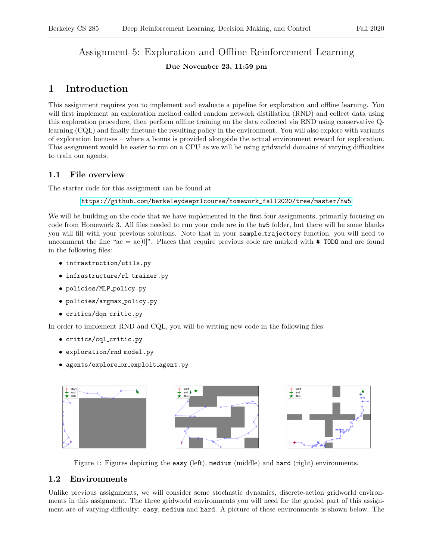# Assignment 5: Exploration and Offline Reinforcement Learning

### Due November 23, 11:59 pm

# 1 Introduction

This assignment requires you to implement and evaluate a pipeline for exploration and offline learning. You will first implement an exploration method called random network distillation (RND) and collect data using this exploration procedure, then perform offline training on the data collected via RND using conservative Qlearning (CQL) and finally finetune the resulting policy in the environment. You will also explore with variants of exploration bonuses – where a bonus is provided alongside the actual environment reward for exploration. This assignment would be easier to run on a CPU as we will be using gridworld domains of varying difficulties to train our agents.

## 1.1 File overview

The starter code for this assignment can be found at

[https://github.com/berkeleydeeprlcourse/homework\\_fall2020/tree/master/hw5](https://github.com/berkeleydeeprlcourse/homework_fall2020/tree/master/hw5)

We will be building on the code that we have implemented in the first four assignments, primarily focusing on code from Homework 3. All files needed to run your code are in the hw5 folder, but there will be some blanks you will fill with your previous solutions. Note that in your sample trajectory function, you will need to uncomment the line "ac =  $\alpha$ c[0]". Places that require previous code are marked with # TODO and are found in the following files:

- infrastruction/utils.py
- infrastructure/rl\_trainer.py
- policies/MLP policy.py
- policies/argmax\_policy.py
- critics/dqn critic.py

In order to implement RND and CQL, you will be writing new code in the following files:

- critics/cql critic.py
- exploration/rnd model.py
- agents/explore or exploit agent.py



Figure 1: Figures depicting the easy (left), medium (middle) and hard (right) environments.

## 1.2 Environments

Unlike previous assignments, we will consider some stochastic dynamics, discrete-action gridworld environments in this assignment. The three gridworld environments you will need for the graded part of this assignment are of varying difficulty: easy, medium and hard. A picture of these environments is shown below. The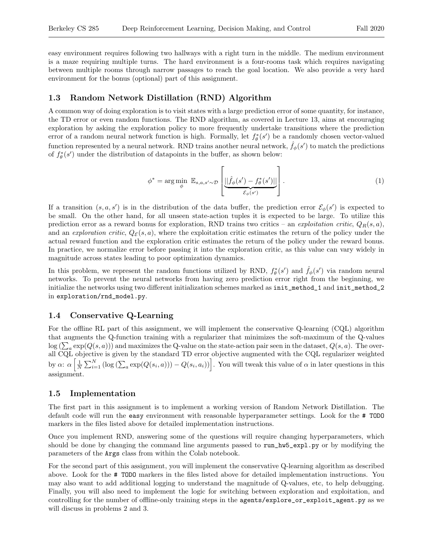easy environment requires following two hallways with a right turn in the middle. The medium environment is a maze requiring multiple turns. The hard environment is a four-rooms task which requires navigating between multiple rooms through narrow passages to reach the goal location. We also provide a very hard environment for the bonus (optional) part of this assignment.

#### 1.3 Random Network Distillation (RND) Algorithm

A common way of doing exploration is to visit states with a large prediction error of some quantity, for instance, the TD error or even random functions. The RND algorithm, as covered in Lecture 13, aims at encouraging exploration by asking the exploration policy to more frequently undertake transitions where the prediction error of a random neural network function is high. Formally, let  $f_{\theta}^*(s')$  be a randomly chosen vector-valued function represented by a neural network. RND trains another neural network,  $\hat{f}_{\phi}(s')$  to match the predictions of  $f_{\theta}^*(s')$  under the distribution of datapoints in the buffer, as shown below:

$$
\phi^* = \arg\min_{\phi} \ \mathbb{E}_{s,a,s' \sim \mathcal{D}} \left[ \underbrace{||\hat{f}_{\phi}(s') - f_{\theta}^*(s')||}_{\mathcal{E}_{\phi}(s')} \right]. \tag{1}
$$

If a transition  $(s, a, s')$  is in the distribution of the data buffer, the prediction error  $\mathcal{E}_{\phi}(s')$  is expected to be small. On the other hand, for all unseen state-action tuples it is expected to be large. To utilize this prediction error as a reward bonus for exploration, RND trains two critics – an exploitation critic,  $Q_R(s, a)$ , and an exploration critic,  $Q_{\mathcal{E}}(s, a)$ , where the exploitation critic estimates the return of the policy under the actual reward function and the exploration critic estimates the return of the policy under the reward bonus. In practice, we normalize error before passing it into the exploration critic, as this value can vary widely in magnitude across states leading to poor optimization dynamics.

In this problem, we represent the random functions utilized by RND,  $f_{\theta}^{*}(s')$  and  $\hat{f}_{\phi}(s')$  via random neural networks. To prevent the neural networks from having zero prediction error right from the beginning, we initialize the networks using two different initialization schemes marked as init\_method\_1 and init\_method\_2 in exploration/rnd\_model.py.

#### 1.4 Conservative Q-Learning

For the offline RL part of this assignment, we will implement the conservative Q-learning (CQL) algorithm that augments the Q-function training with a regularizer that minimizes the soft-maximum of the Q-values  $\log(\sum_a \exp(Q(s, a)))$  and maximizes the Q-value on the state-action pair seen in the dataset,  $Q(s, a)$ . The overall CQL objective is given by the standard TD error objective augmented with the CQL regularizer weighted by  $\alpha$ :  $\alpha \left[ \frac{1}{N} \sum_{i=1}^{N} \left( \log \left( \sum_{a} \exp(Q(s_i, a)) \right) - Q(s_i, a_i) \right) \right]$ . You will tweak this value of  $\alpha$  in later questions in this assignment.

#### 1.5 Implementation

The first part in this assignment is to implement a working version of Random Network Distillation. The default code will run the easy environment with reasonable hyperparameter settings. Look for the # TODO markers in the files listed above for detailed implementation instructions.

Once you implement RND, answering some of the questions will require changing hyperparameters, which should be done by changing the command line arguments passed to run\_hw5\_expl.py or by modifying the parameters of the Args class from within the Colab notebook.

For the second part of this assignment, you will implement the conservative Q-learning algorithm as described above. Look for the # TODO markers in the files listed above for detailed implementation instructions. You may also want to add additional logging to understand the magnitude of Q-values, etc, to help debugging. Finally, you will also need to implement the logic for switching between exploration and exploitation, and controlling for the number of offline-only training steps in the agents/explore\_or\_exploit\_agent.py as we will discuss in problems 2 and 3.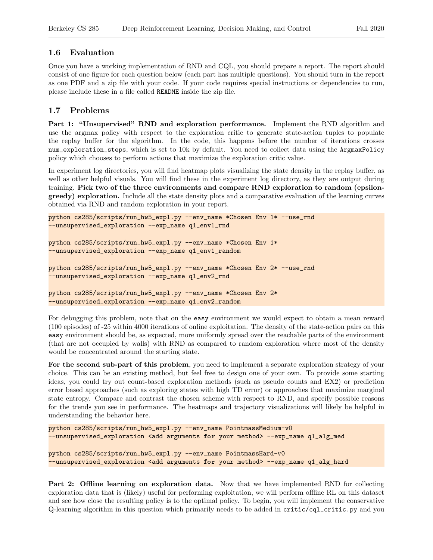#### 1.6 Evaluation

Once you have a working implementation of RND and CQL, you should prepare a report. The report should consist of one figure for each question below (each part has multiple questions). You should turn in the report as one PDF and a zip file with your code. If your code requires special instructions or dependencies to run, please include these in a file called README inside the zip file.

#### 1.7 Problems

Part 1: "Unsupervised" RND and exploration performance. Implement the RND algorithm and use the argmax policy with respect to the exploration critic to generate state-action tuples to populate the replay buffer for the algorithm. In the code, this happens before the number of iterations crosses num\_exploration\_steps, which is set to 10k by default. You need to collect data using the ArgmaxPolicy policy which chooses to perform actions that maximize the exploration critic value.

In experiment log directories, you will find heatmap plots visualizing the state density in the replay buffer, as well as other helpful visuals. You will find these in the experiment log directory, as they are output during training. Pick two of the three environments and compare RND exploration to random (epsilongreedy) exploration. Include all the state density plots and a comparative evaluation of the learning curves obtained via RND and random exploration in your report.

```
python cs285/scripts/run_hw5_expl.py --env_name *Chosen Env 1* --use_rnd
--unsupervised_exploration --exp_name q1_env1_rnd
```

```
python cs285/scripts/run_hw5_expl.py --env_name *Chosen Env 1*
--unsupervised_exploration --exp_name q1_env1_random
```

```
python cs285/scripts/run_hw5_expl.py --env_name *Chosen Env 2* --use_rnd
--unsupervised_exploration --exp_name q1_env2_rnd
```

```
python cs285/scripts/run_hw5_expl.py --env_name *Chosen Env 2*
--unsupervised_exploration --exp_name q1_env2_random
```
For debugging this problem, note that on the easy environment we would expect to obtain a mean reward (100 episodes) of -25 within 4000 iterations of online exploitation. The density of the state-action pairs on this easy environment should be, as expected, more uniformly spread over the reachable parts of the environment (that are not occupied by walls) with RND as compared to random exploration where most of the density would be concentrated around the starting state.

For the second sub-part of this problem, you need to implement a separate exploration strategy of your choice. This can be an existing method, but feel free to design one of your own. To provide some starting ideas, you could try out count-based exploration methods (such as pseudo counts and EX2) or prediction error based approaches (such as exploring states with high TD error) or approaches that maximize marginal state entropy. Compare and contrast the chosen scheme with respect to RND, and specify possible reasons for the trends you see in performance. The heatmaps and trajectory visualizations will likely be helpful in understanding the behavior here.

```
python cs285/scripts/run_hw5_expl.py --env_name PointmassMedium-v0
--unsupervised_exploration <add arguments for your method> --exp_name q1_alg_med
python cs285/scripts/run_hw5_expl.py --env_name PointmassHard-v0
--unsupervised_exploration <add arguments for your method> --exp_name q1_alg_hard
```
Part 2: Offline learning on exploration data. Now that we have implemented RND for collecting exploration data that is (likely) useful for performing exploitation, we will perform offline RL on this dataset and see how close the resulting policy is to the optimal policy. To begin, you will implement the conservative Q-learning algorithm in this question which primarily needs to be added in critic/cql\_critic.py and you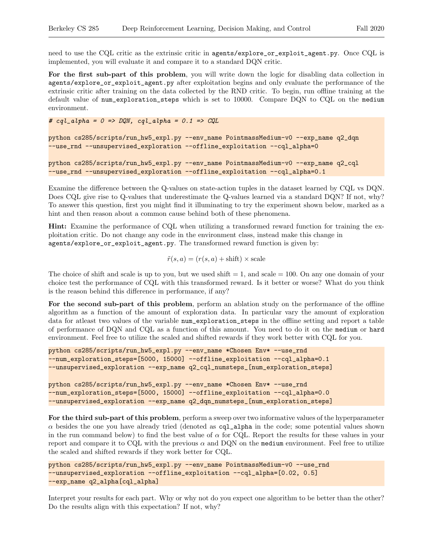need to use the CQL critic as the extrinsic critic in agents/explore\_or\_exploit\_agent.py. Once CQL is implemented, you will evaluate it and compare it to a standard DQN critic.

For the first sub-part of this problem, you will write down the logic for disabling data collection in agents/explore\_or\_exploit\_agent.py after exploitation begins and only evaluate the performance of the extrinsic critic after training on the data collected by the RND critic. To begin, run offline training at the default value of num\_exploration\_steps which is set to 10000. Compare DQN to CQL on the medium environment.

# cql\_alpha =  $0 \Rightarrow DQN$ , cql\_alpha =  $0.1 \Rightarrow CQL$ 

```
python cs285/scripts/run_hw5_expl.py --env_name PointmassMedium-v0 --exp_name q2_dqn
--use_rnd --unsupervised_exploration --offline_exploitation --cql_alpha=0
```
python cs285/scripts/run\_hw5\_expl.py --env\_name PointmassMedium-v0 --exp\_name q2\_cql --use\_rnd --unsupervised\_exploration --offline\_exploitation --cql\_alpha=0.1

Examine the difference between the Q-values on state-action tuples in the dataset learned by CQL vs DQN. Does CQL give rise to Q-values that underestimate the Q-values learned via a standard DQN? If not, why? To answer this question, first you might find it illuminating to try the experiment shown below, marked as a hint and then reason about a common cause behind both of these phenomena.

Hint: Examine the performance of CQL when utilizing a transformed reward function for training the exploitation critic. Do not change any code in the environment class, instead make this change in agents/explore\_or\_exploit\_agent.py. The transformed reward function is given by:

 $\tilde{r}(s, a) = (r(s, a) + \text{shift}) \times \text{scale}$ 

The choice of shift and scale is up to you, but we used  $\text{shift} = 1$ , and  $\text{scale} = 100$ . On any one domain of your choice test the performance of CQL with this transformed reward. Is it better or worse? What do you think is the reason behind this difference in performance, if any?

For the second sub-part of this problem, perform an ablation study on the performance of the offline algorithm as a function of the amount of exploration data. In particular vary the amount of exploration data for atleast two values of the variable num\_exploration\_steps in the offline setting and report a table of performance of DQN and CQL as a function of this amount. You need to do it on the medium or hard environment. Feel free to utilize the scaled and shifted rewards if they work better with CQL for you.

```
python cs285/scripts/run_hw5_expl.py --env_name *Chosen Env* --use_rnd
--num_exploration_steps=[5000, 15000] --offline_exploitation --cql_alpha=0.1
--unsupervised_exploration --exp_name q2_cql_numsteps_[num_exploration_steps]
```

```
python cs285/scripts/run_hw5_expl.py --env_name *Chosen Env* --use_rnd
--num_exploration_steps=[5000, 15000] --offline_exploitation --cql_alpha=0.0
--unsupervised_exploration --exp_name q2_dqn_numsteps_[num_exploration_steps]
```
For the third sub-part of this problem, perform a sweep over two informative values of the hyperparameter  $\alpha$  besides the one you have already tried (denoted as cql\_alpha in the code; some potential values shown in the run command below) to find the best value of  $\alpha$  for CQL. Report the results for these values in your report and compare it to CQL with the previous  $\alpha$  and DQN on the medium environment. Feel free to utilize the scaled and shifted rewards if they work better for CQL.

```
python cs285/scripts/run_hw5_expl.py --env_name PointmassMedium-v0 --use_rnd
--unsupervised_exploration --offline_exploitation --cql_alpha=[0.02, 0.5]
--exp_name q2_alpha[cql_alpha]
```
Interpret your results for each part. Why or why not do you expect one algorithm to be better than the other? Do the results align with this expectation? If not, why?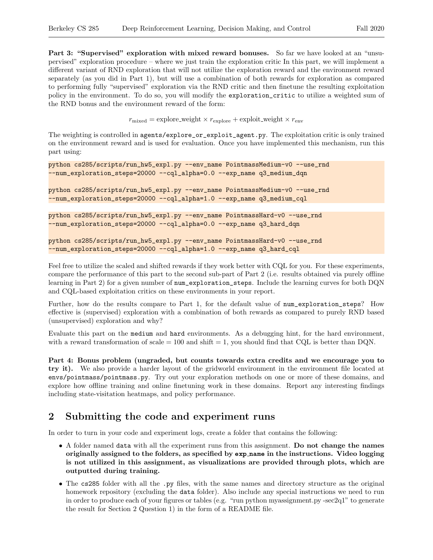Part 3: "Supervised" exploration with mixed reward bonuses. So far we have looked at an "unsupervised" exploration procedure – where we just train the exploration critic In this part, we will implement a different variant of RND exploration that will not utilize the exploration reward and the environment reward separately (as you did in Part 1), but will use a combination of both rewards for exploration as compared to performing fully "supervised" exploration via the RND critic and then finetune the resulting exploitation policy in the environment. To do so, you will modify the exploration\_critic to utilize a weighted sum of the RND bonus and the environment reward of the form:

 $r_{\text{mixed}} = \text{explore-weight} \times r_{\text{explore}} + \text{exploit-weight} \times r_{\text{env}}$ 

The weighting is controlled in agents/explore\_or\_exploit\_agent.py. The exploitation critic is only trained on the environment reward and is used for evaluation. Once you have implemented this mechanism, run this part using:

```
python cs285/scripts/run_hw5_expl.py --env_name PointmassMedium-v0 --use_rnd
--num_exploration_steps=20000 --cql_alpha=0.0 --exp_name q3_medium_dqn
python cs285/scripts/run_hw5_expl.py --env_name PointmassMedium-v0 --use_rnd
--num_exploration_steps=20000 --cql_alpha=1.0 --exp_name q3_medium_cql
```

```
python cs285/scripts/run_hw5_expl.py --env_name PointmassHard-v0 --use_rnd
--num_exploration_steps=20000 --cql_alpha=0.0 --exp_name q3_hard_dqn
```

```
python cs285/scripts/run_hw5_expl.py --env_name PointmassHard-v0 --use_rnd
--num_exploration_steps=20000 --cql_alpha=1.0 --exp_name q3_hard_cql
```
Feel free to utilize the scaled and shifted rewards if they work better with CQL for you. For these experiments, compare the performance of this part to the second sub-part of Part 2 (i.e. results obtained via purely offline learning in Part 2) for a given number of num\_exploration\_steps. Include the learning curves for both DQN and CQL-based exploitation critics on these environments in your report.

Further, how do the results compare to Part 1, for the default value of num\_exploration\_steps? How effective is (supervised) exploration with a combination of both rewards as compared to purely RND based (unsupervised) exploration and why?

Evaluate this part on the medium and hard environments. As a debugging hint, for the hard environment, with a reward transformation of scale  $= 100$  and shift  $= 1$ , you should find that CQL is better than DQN.

Part 4: Bonus problem (ungraded, but counts towards extra credits and we encourage you to try it). We also provide a harder layout of the gridworld environment in the environment file located at envs/pointmass/pointmass.py. Try out your exploration methods on one or more of these domains, and explore how offline training and online finetuning work in these domains. Report any interesting findings including state-visitation heatmaps, and policy performance.

# 2 Submitting the code and experiment runs

In order to turn in your code and experiment logs, create a folder that contains the following:

- A folder named data with all the experiment runs from this assignment. Do not change the names originally assigned to the folders, as specified by exp name in the instructions. Video logging is not utilized in this assignment, as visualizations are provided through plots, which are outputted during training.
- The cs285 folder with all the .py files, with the same names and directory structure as the original homework repository (excluding the data folder). Also include any special instructions we need to run in order to produce each of your figures or tables (e.g. "run python myassignment.py -sec2q1" to generate the result for Section 2 Question 1) in the form of a README file.